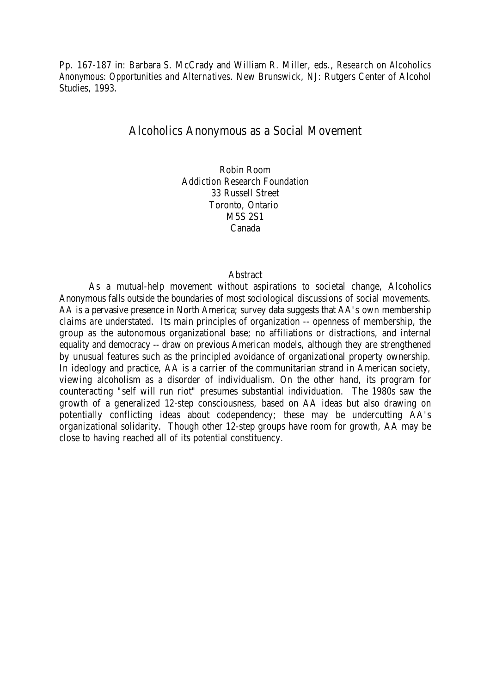Pp. 167-187 in: Barbara S. McCrady and William R. Miller, eds., *Research on Alcoholics Anonymous: Opportunities and Alternatives*. New Brunswick, NJ: Rutgers Center of Alcohol Studies, 1993.

# Alcoholics Anonymous as a Social Movement

Robin Room Addiction Research Foundation 33 Russell Street Toronto, Ontario M5S 2S1 Canada

### Abstract

As a mutual-help movement without aspirations to societal change, Alcoholics Anonymous falls outside the boundaries of most sociological discussions of social movements. AA is a pervasive presence in North America; survey data suggests that AA's own membership claims are understated. Its main principles of organization -- openness of membership, the group as the autonomous organizational base; no affiliations or distractions, and internal equality and democracy -- draw on previous American models, although they are strengthened by unusual features such as the principled avoidance of organizational property ownership. In ideology and practice, AA is a carrier of the communitarian strand in American society, viewing alcoholism as a disorder of individualism. On the other hand, its program for counteracting "self will run riot" presumes substantial individuation. The 1980s saw the growth of a generalized 12-step consciousness, based on AA ideas but also drawing on potentially conflicting ideas about codependency; these may be undercutting AA's organizational solidarity. Though other 12-step groups have room for growth, AA may be close to having reached all of its potential constituency.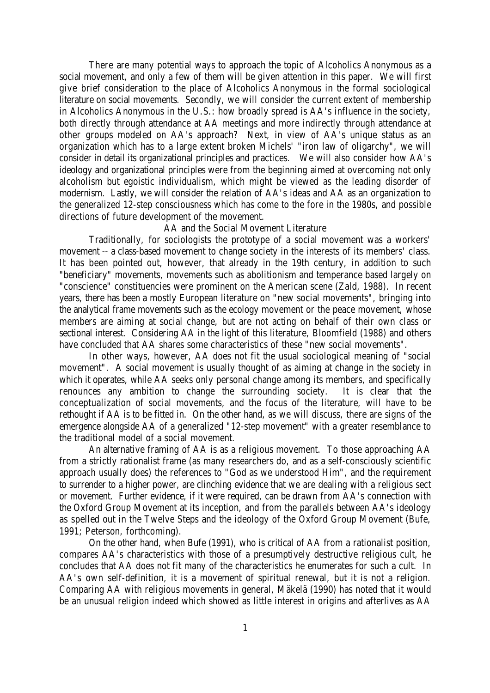There are many potential ways to approach the topic of Alcoholics Anonymous as a social movement, and only a few of them will be given attention in this paper. We will first give brief consideration to the place of Alcoholics Anonymous in the formal sociological literature on social movements. Secondly, we will consider the current extent of membership in Alcoholics Anonymous in the U.S.: how broadly spread is AA's influence in the society, both directly through attendance at AA meetings and more indirectly through attendance at other groups modeled on AA's approach? Next, in view of AA's unique status as an organization which has to a large extent broken Michels' "iron law of oligarchy", we will consider in detail its organizational principles and practices. We will also consider how AA's ideology and organizational principles were from the beginning aimed at overcoming not only alcoholism but egoistic individualism, which might be viewed as the leading disorder of modernism. Lastly, we will consider the relation of AA's ideas and AA as an organization to the generalized 12-step consciousness which has come to the fore in the 1980s, and possible directions of future development of the movement.

## AA and the Social Movement Literature

Traditionally, for sociologists the prototype of a social movement was a workers' movement -- a class-based movement to change society in the interests of its members' class. It has been pointed out, however, that already in the 19th century, in addition to such "beneficiary" movements, movements such as abolitionism and temperance based largely on "conscience" constituencies were prominent on the American scene (Zald, 1988). In recent years, there has been a mostly European literature on "new social movements", bringing into the analytical frame movements such as the ecology movement or the peace movement, whose members are aiming at social change, but are not acting on behalf of their own class or sectional interest. Considering AA in the light of this literature, Bloomfield (1988) and others have concluded that AA shares some characteristics of these "new social movements".

In other ways, however, AA does not fit the usual sociological meaning of "social movement". A social movement is usually thought of as aiming at change in the society in which it operates, while AA seeks only personal change among its members, and specifically renounces any ambition to change the surrounding society. It is clear that the conceptualization of social movements, and the focus of the literature, will have to be rethought if AA is to be fitted in. On the other hand, as we will discuss, there are signs of the emergence alongside AA of a generalized "12-step movement" with a greater resemblance to the traditional model of a social movement.

An alternative framing of AA is as a religious movement. To those approaching AA from a strictly rationalist frame (as many researchers do, and as a self-consciously scientific approach usually does) the references to "God as we understood Him", and the requirement to surrender to a higher power, are clinching evidence that we are dealing with a religious sect or movement. Further evidence, if it were required, can be drawn from AA's connection with the Oxford Group Movement at its inception, and from the parallels between AA's ideology as spelled out in the Twelve Steps and the ideology of the Oxford Group Movement (Bufe, 1991; Peterson, forthcoming).

On the other hand, when Bufe (1991), who is critical of AA from a rationalist position, compares AA's characteristics with those of a presumptively destructive religious cult, he concludes that AA does not fit many of the characteristics he enumerates for such a cult. In AA's own self-definition, it is a movement of spiritual renewal, but it is not a religion. Comparing AA with religious movements in general, Mäkelä (1990) has noted that it would be an unusual religion indeed which showed as little interest in origins and afterlives as AA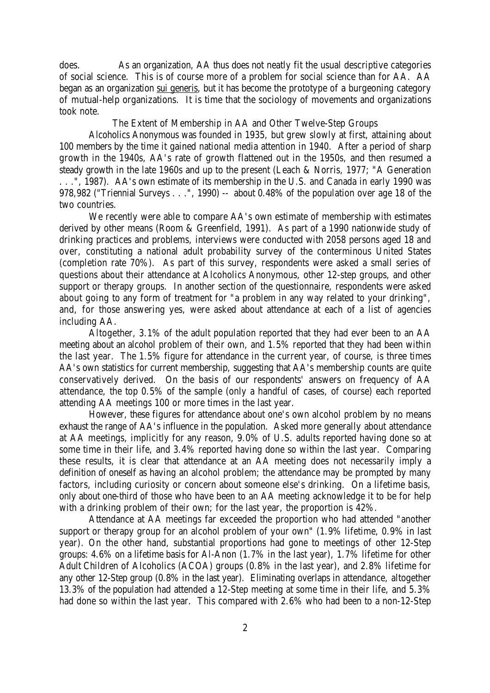does. As an organization, AA thus does not neatly fit the usual descriptive categories of social science. This is of course more of a problem for social science than for AA. AA began as an organization sui generis, but it has become the prototype of a burgeoning category of mutual-help organizations. It is time that the sociology of movements and organizations took note.

The Extent of Membership in AA and Other Twelve-Step Groups

Alcoholics Anonymous was founded in 1935, but grew slowly at first, attaining about 100 members by the time it gained national media attention in 1940. After a period of sharp growth in the 1940s, AA's rate of growth flattened out in the 1950s, and then resumed a steady growth in the late 1960s and up to the present (Leach & Norris, 1977; "A Generation . . .", 1987). AA's own estimate of its membership in the U.S. and Canada in early 1990 was 978,982 ("Triennial Surveys . . .", 1990) -- about 0.48% of the population over age 18 of the two countries.

We recently were able to compare AA's own estimate of membership with estimates derived by other means (Room & Greenfield, 1991). As part of a 1990 nationwide study of drinking practices and problems, interviews were conducted with 2058 persons aged 18 and over, constituting a national adult probability survey of the conterminous United States (completion rate 70%). As part of this survey, respondents were asked a small series of questions about their attendance at Alcoholics Anonymous, other 12-step groups, and other support or therapy groups. In another section of the questionnaire, respondents were asked about going to any form of treatment for "a problem in any way related to your drinking", and, for those answering yes, were asked about attendance at each of a list of agencies including AA.

Altogether, 3.1% of the adult population reported that they had ever been to an AA meeting about an alcohol problem of their own, and 1.5% reported that they had been within the last year. The 1.5% figure for attendance in the current year, of course, is three times AA's own statistics for current membership, suggesting that AA's membership counts are quite conservatively derived. On the basis of our respondents' answers on frequency of AA attendance, the top 0.5% of the sample (only a handful of cases, of course) each reported attending AA meetings 100 or more times in the last year.

However, these figures for attendance about one's own alcohol problem by no means exhaust the range of AA's influence in the population. Asked more generally about attendance at AA meetings, implicitly for any reason, 9.0% of U.S. adults reported having done so at some time in their life, and 3.4% reported having done so within the last year. Comparing these results, it is clear that attendance at an AA meeting does not necessarily imply a definition of oneself as having an alcohol problem; the attendance may be prompted by many factors, including curiosity or concern about someone else's drinking. On a lifetime basis, only about one-third of those who have been to an AA meeting acknowledge it to be for help with a drinking problem of their own; for the last year, the proportion is 42%.

Attendance at AA meetings far exceeded the proportion who had attended "another support or therapy group for an alcohol problem of your own" (1.9% lifetime, 0.9% in last year). On the other hand, substantial proportions had gone to meetings of other 12-Step groups: 4.6% on a lifetime basis for Al-Anon (1.7% in the last year), 1.7% lifetime for other Adult Children of Alcoholics (ACOA) groups (0.8% in the last year), and 2.8% lifetime for any other 12-Step group (0.8% in the last year). Eliminating overlaps in attendance, altogether 13.3% of the population had attended a 12-Step meeting at some time in their life, and 5.3% had done so within the last year. This compared with 2.6% who had been to a non-12-Step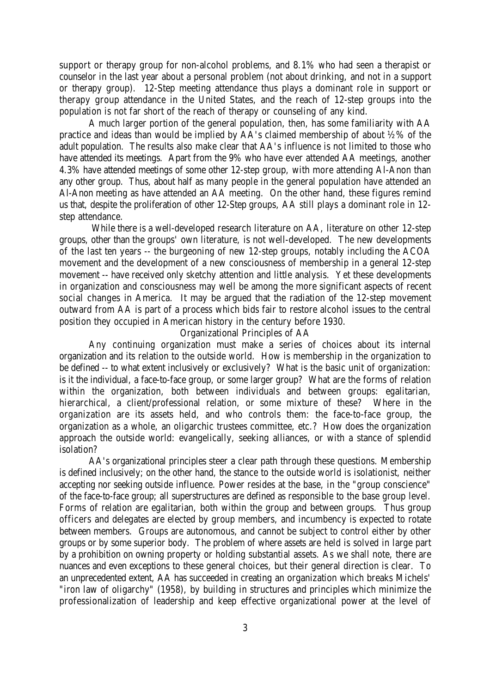support or therapy group for non-alcohol problems, and 8.1% who had seen a therapist or counselor in the last year about a personal problem (not about drinking, and not in a support or therapy group). 12-Step meeting attendance thus plays a dominant role in support or therapy group attendance in the United States, and the reach of 12-step groups into the population is not far short of the reach of therapy or counseling of any kind.

A much larger portion of the general population, then, has some familiarity with AA practice and ideas than would be implied by AA's claimed membership of about ½% of the adult population. The results also make clear that AA's influence is not limited to those who have attended its meetings. Apart from the 9% who have ever attended AA meetings, another 4.3% have attended meetings of some other 12-step group, with more attending Al-Anon than any other group. Thus, about half as many people in the general population have attended an Al-Anon meeting as have attended an AA meeting. On the other hand, these figures remind us that, despite the proliferation of other 12-Step groups, AA still plays a dominant role in 12 step attendance.

 While there is a well-developed research literature on AA, literature on other 12-step groups, other than the groups' own literature, is not well-developed. The new developments of the last ten years -- the burgeoning of new 12-step groups, notably including the ACOA movement and the development of a new consciousness of membership in a general 12-step movement -- have received only sketchy attention and little analysis. Yet these developments in organization and consciousness may well be among the more significant aspects of recent social changes in America. It may be argued that the radiation of the 12-step movement outward from AA is part of a process which bids fair to restore alcohol issues to the central position they occupied in American history in the century before 1930.

#### Organizational Principles of AA

Any continuing organization must make a series of choices about its internal organization and its relation to the outside world. How is membership in the organization to be defined -- to what extent inclusively or exclusively? What is the basic unit of organization: is it the individual, a face-to-face group, or some larger group? What are the forms of relation within the organization, both between individuals and between groups: egalitarian, hierarchical, a client/professional relation, or some mixture of these? Where in the organization are its assets held, and who controls them: the face-to-face group, the organization as a whole, an oligarchic trustees committee, etc.? How does the organization approach the outside world: evangelically, seeking alliances, or with a stance of splendid isolation?

AA's organizational principles steer a clear path through these questions. Membership is defined inclusively; on the other hand, the stance to the outside world is isolationist, neither accepting nor seeking outside influence. Power resides at the base, in the "group conscience" of the face-to-face group; all superstructures are defined as responsible to the base group level. Forms of relation are egalitarian, both within the group and between groups. Thus group officers and delegates are elected by group members, and incumbency is expected to rotate between members. Groups are autonomous, and cannot be subject to control either by other groups or by some superior body. The problem of where assets are held is solved in large part by a prohibition on owning property or holding substantial assets. As we shall note, there are nuances and even exceptions to these general choices, but their general direction is clear. To an unprecedented extent, AA has succeeded in creating an organization which breaks Michels' "iron law of oligarchy" (1958), by building in structures and principles which minimize the professionalization of leadership and keep effective organizational power at the level of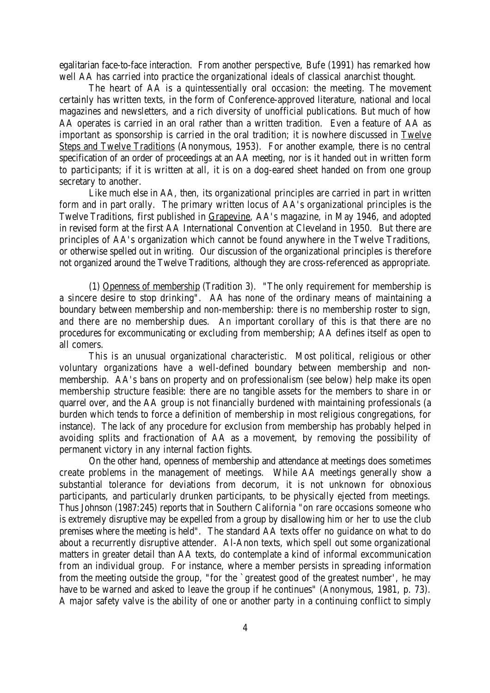egalitarian face-to-face interaction. From another perspective, Bufe (1991) has remarked how well AA has carried into practice the organizational ideals of classical anarchist thought.

The heart of AA is a quintessentially oral occasion: the meeting. The movement certainly has written texts, in the form of Conference-approved literature, national and local magazines and newsletters, and a rich diversity of unofficial publications. But much of how AA operates is carried in an oral rather than a written tradition. Even a feature of AA as important as sponsorship is carried in the oral tradition; it is nowhere discussed in Twelve Steps and Twelve Traditions (Anonymous, 1953). For another example, there is no central specification of an order of proceedings at an AA meeting, nor is it handed out in written form to participants; if it is written at all, it is on a dog-eared sheet handed on from one group secretary to another.

Like much else in AA, then, its organizational principles are carried in part in written form and in part orally. The primary written locus of AA's organizational principles is the Twelve Traditions, first published in Grapevine, AA's magazine, in May 1946, and adopted in revised form at the first AA International Convention at Cleveland in 1950. But there are principles of AA's organization which cannot be found anywhere in the Twelve Traditions, or otherwise spelled out in writing. Our discussion of the organizational principles is therefore not organized around the Twelve Traditions, although they are cross-referenced as appropriate.

(1) Openness of membership (Tradition 3). "The only requirement for membership is a sincere desire to stop drinking". AA has none of the ordinary means of maintaining a boundary between membership and non-membership: there is no membership roster to sign, and there are no membership dues. An important corollary of this is that there are no procedures for excommunicating or excluding from membership; AA defines itself as open to all comers.

This is an unusual organizational characteristic. Most political, religious or other voluntary organizations have a well-defined boundary between membership and nonmembership. AA's bans on property and on professionalism (see below) help make its open membership structure feasible: there are no tangible assets for the members to share in or quarrel over, and the AA group is not financially burdened with maintaining professionals (a burden which tends to force a definition of membership in most religious congregations, for instance). The lack of any procedure for exclusion from membership has probably helped in avoiding splits and fractionation of AA as a movement, by removing the possibility of permanent victory in any internal faction fights.

On the other hand, openness of membership and attendance at meetings does sometimes create problems in the management of meetings. While AA meetings generally show a substantial tolerance for deviations from decorum, it is not unknown for obnoxious participants, and particularly drunken participants, to be physically ejected from meetings. Thus Johnson (1987:245) reports that in Southern California "on rare occasions someone who is extremely disruptive may be expelled from a group by disallowing him or her to use the club premises where the meeting is held". The standard AA texts offer no guidance on what to do about a recurrently disruptive attender. Al-Anon texts, which spell out some organizational matters in greater detail than AA texts, do contemplate a kind of informal excommunication from an individual group. For instance, where a member persists in spreading information from the meeting outside the group, "for the `greatest good of the greatest number', he may have to be warned and asked to leave the group if he continues" (Anonymous, 1981, p. 73). A major safety valve is the ability of one or another party in a continuing conflict to simply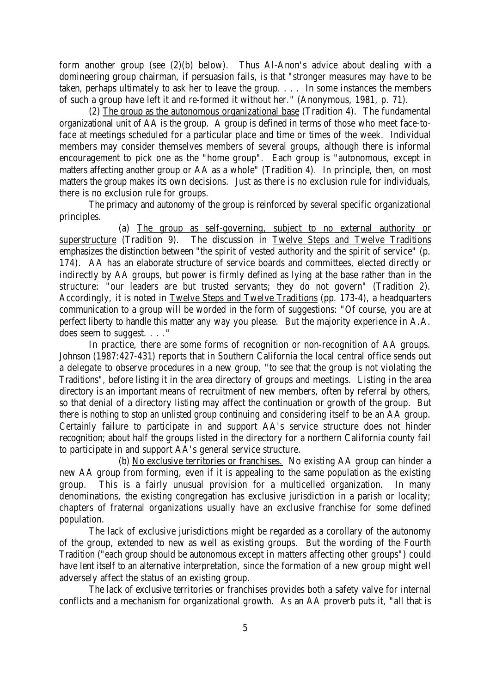form another group (see (2)(b) below). Thus Al-Anon's advice about dealing with a domineering group chairman, if persuasion fails, is that "stronger measures may have to be taken, perhaps ultimately to ask her to leave the group. . . . In some instances the members of such a group have left it and re-formed it without her." (Anonymous, 1981, p. 71).

(2) The group as the autonomous organizational base (Tradition 4). The fundamental organizational unit of AA is the group. A group is defined in terms of those who meet face-toface at meetings scheduled for a particular place and time or times of the week. Individual members may consider themselves members of several groups, although there is informal encouragement to pick one as the "home group". Each group is "autonomous, except in matters affecting another group or AA as a whole" (Tradition 4). In principle, then, on most matters the group makes its own decisions. Just as there is no exclusion rule for individuals, there is no exclusion rule for groups.

The primacy and autonomy of the group is reinforced by several specific organizational principles.

(a) The group as self-governing, subject to no external authority or superstructure (Tradition 9). The discussion in Twelve Steps and Twelve Traditions emphasizes the distinction between "the spirit of vested authority and the spirit of service" (p. 174). AA has an elaborate structure of service boards and committees, elected directly or indirectly by AA groups, but power is firmly defined as lying at the base rather than in the structure: "our leaders are but trusted servants; they do not govern" (Tradition 2). Accordingly, it is noted in Twelve Steps and Twelve Traditions (pp. 173-4), a headquarters communication to a group will be worded in the form of suggestions: "Of course, you are at perfect liberty to handle this matter any way you please. But the majority experience in A.A. does seem to suggest. . . ."

In practice, there are some forms of recognition or non-recognition of AA groups. Johnson (1987:427-431) reports that in Southern California the local central office sends out a delegate to observe procedures in a new group, "to see that the group is not violating the Traditions", before listing it in the area directory of groups and meetings. Listing in the area directory is an important means of recruitment of new members, often by referral by others, so that denial of a directory listing may affect the continuation or growth of the group. But there is nothing to stop an unlisted group continuing and considering itself to be an AA group. Certainly failure to participate in and support AA's service structure does not hinder recognition; about half the groups listed in the directory for a northern California county fail to participate in and support AA's general service structure.

(b) No exclusive territories or franchises. No existing AA group can hinder a new AA group from forming, even if it is appealing to the same population as the existing group. This is a fairly unusual provision for a multicelled organization. In many denominations, the existing congregation has exclusive jurisdiction in a parish or locality; chapters of fraternal organizations usually have an exclusive franchise for some defined population.

The lack of exclusive jurisdictions might be regarded as a corollary of the autonomy of the group, extended to new as well as existing groups. But the wording of the Fourth Tradition ("each group should be autonomous except in matters affecting other groups") could have lent itself to an alternative interpretation, since the formation of a new group might well adversely affect the status of an existing group.

The lack of exclusive territories or franchises provides both a safety valve for internal conflicts and a mechanism for organizational growth. As an AA proverb puts it, "all that is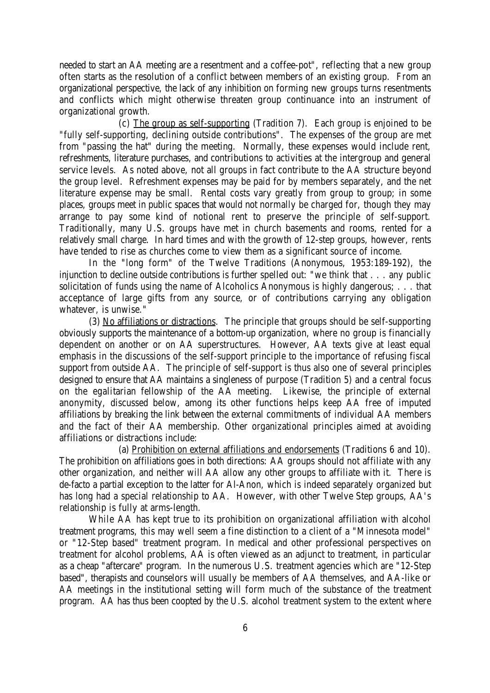needed to start an AA meeting are a resentment and a coffee-pot", reflecting that a new group often starts as the resolution of a conflict between members of an existing group. From an organizational perspective, the lack of any inhibition on forming new groups turns resentments and conflicts which might otherwise threaten group continuance into an instrument of organizational growth.

(c) The group as self-supporting (Tradition 7). Each group is enjoined to be "fully self-supporting, declining outside contributions". The expenses of the group are met from "passing the hat" during the meeting. Normally, these expenses would include rent, refreshments, literature purchases, and contributions to activities at the intergroup and general service levels. As noted above, not all groups in fact contribute to the AA structure beyond the group level. Refreshment expenses may be paid for by members separately, and the net literature expense may be small. Rental costs vary greatly from group to group; in some places, groups meet in public spaces that would not normally be charged for, though they may arrange to pay some kind of notional rent to preserve the principle of self-support. Traditionally, many U.S. groups have met in church basements and rooms, rented for a relatively small charge. In hard times and with the growth of 12-step groups, however, rents have tended to rise as churches come to view them as a significant source of income.

In the "long form" of the Twelve Traditions (Anonymous, 1953:189-192), the injunction to decline outside contributions is further spelled out: "we think that . . . any public solicitation of funds using the name of Alcoholics Anonymous is highly dangerous; . . . that acceptance of large gifts from any source, or of contributions carrying any obligation whatever, is unwise."

(3) No affiliations or distractions. The principle that groups should be self-supporting obviously supports the maintenance of a bottom-up organization, where no group is financially dependent on another or on AA superstructures. However, AA texts give at least equal emphasis in the discussions of the self-support principle to the importance of refusing fiscal support from outside AA. The principle of self-support is thus also one of several principles designed to ensure that AA maintains a singleness of purpose (Tradition 5) and a central focus on the egalitarian fellowship of the AA meeting. Likewise, the principle of external anonymity, discussed below, among its other functions helps keep AA free of imputed affiliations by breaking the link between the external commitments of individual AA members and the fact of their AA membership. Other organizational principles aimed at avoiding affiliations or distractions include:

(a) Prohibition on external affiliations and endorsements (Traditions 6 and 10). The prohibition on affiliations goes in both directions: AA groups should not affiliate with any other organization, and neither will AA allow any other groups to affiliate with it. There is de-facto a partial exception to the latter for Al-Anon, which is indeed separately organized but has long had a special relationship to AA. However, with other Twelve Step groups, AA's relationship is fully at arms-length.

While AA has kept true to its prohibition on organizational affiliation with alcohol treatment programs, this may well seem a fine distinction to a client of a "Minnesota model" or "12-Step based" treatment program. In medical and other professional perspectives on treatment for alcohol problems, AA is often viewed as an adjunct to treatment, in particular as a cheap "aftercare" program. In the numerous U.S. treatment agencies which are "12-Step based", therapists and counselors will usually be members of AA themselves, and AA-like or AA meetings in the institutional setting will form much of the substance of the treatment program. AA has thus been coopted by the U.S. alcohol treatment system to the extent where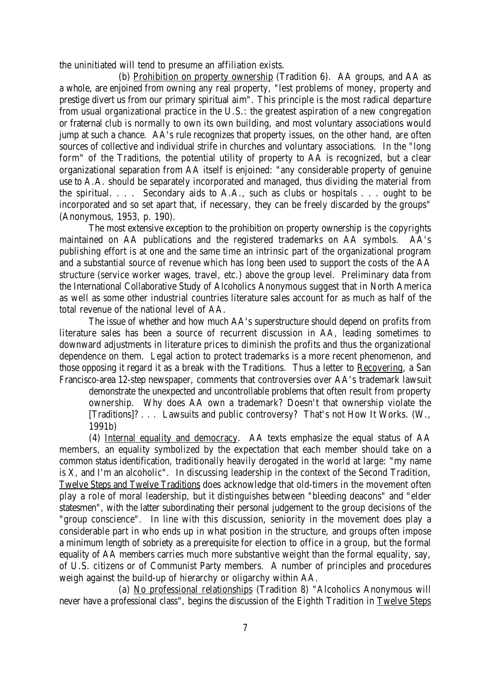the uninitiated will tend to presume an affiliation exists.

(b) Prohibition on property ownership (Tradition 6). AA groups, and AA as a whole, are enjoined from owning any real property, "lest problems of money, property and prestige divert us from our primary spiritual aim". This principle is the most radical departure from usual organizational practice in the U.S.: the greatest aspiration of a new congregation or fraternal club is normally to own its own building, and most voluntary associations would jump at such a chance. AA's rule recognizes that property issues, on the other hand, are often sources of collective and individual strife in churches and voluntary associations. In the "long form" of the Traditions, the potential utility of property to AA is recognized, but a clear organizational separation from AA itself is enjoined: "any considerable property of genuine use to A.A. should be separately incorporated and managed, thus dividing the material from the spiritual. . . . Secondary aids to A.A., such as clubs or hospitals . . . ought to be incorporated and so set apart that, if necessary, they can be freely discarded by the groups" (Anonymous, 1953, p. 190).

The most extensive exception to the prohibition on property ownership is the copyrights maintained on AA publications and the registered trademarks on AA symbols. AA's publishing effort is at one and the same time an intrinsic part of the organizational program and a substantial source of revenue which has long been used to support the costs of the AA structure (service worker wages, travel, etc.) above the group level. Preliminary data from the International Collaborative Study of Alcoholics Anonymous suggest that in North America as well as some other industrial countries literature sales account for as much as half of the total revenue of the national level of AA.

The issue of whether and how much AA's superstructure should depend on profits from literature sales has been a source of recurrent discussion in AA, leading sometimes to downward adjustments in literature prices to diminish the profits and thus the organizational dependence on them. Legal action to protect trademarks is a more recent phenomenon, and those opposing it regard it as a break with the Traditions. Thus a letter to Recovering, a San Francisco-area 12-step newspaper, comments that controversies over AA's trademark lawsuit

demonstrate the unexpected and uncontrollable problems that often result from property ownership. Why does AA own a trademark? Doesn't that ownership violate the [Traditions]? . . . Lawsuits and public controversy? That's not How It Works. (W., 1991b)

(4) Internal equality and democracy. AA texts emphasize the equal status of AA members, an equality symbolized by the expectation that each member should take on a common status identification, traditionally heavily derogated in the world at large: "my name is X, and I'm an alcoholic". In discussing leadership in the context of the Second Tradition, Twelve Steps and Twelve Traditions does acknowledge that old-timers in the movement often play a role of moral leadership, but it distinguishes between "bleeding deacons" and "elder statesmen", with the latter subordinating their personal judgement to the group decisions of the "group conscience". In line with this discussion, seniority in the movement does play a considerable part in who ends up in what position in the structure, and groups often impose a minimum length of sobriety as a prerequisite for election to office in a group, but the formal equality of AA members carries much more substantive weight than the formal equality, say, of U.S. citizens or of Communist Party members. A number of principles and procedures weigh against the build-up of hierarchy or oligarchy within AA.

(a) No professional relationships (Tradition 8) "Alcoholics Anonymous will never have a professional class", begins the discussion of the Eighth Tradition in Twelve Steps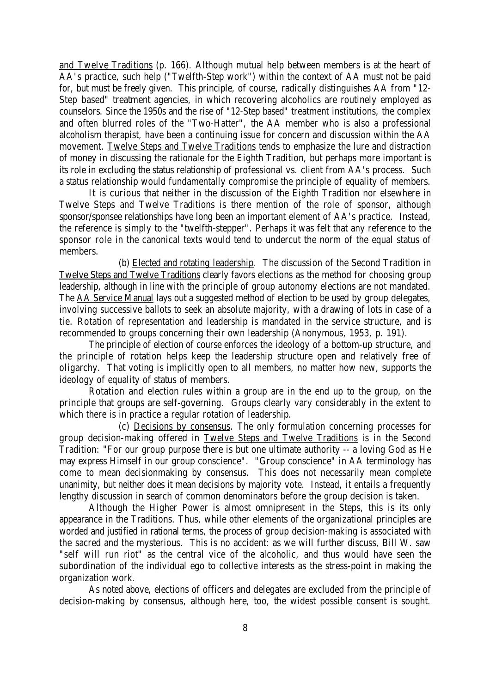and Twelve Traditions (p. 166). Although mutual help between members is at the heart of AA's practice, such help ("Twelfth-Step work") within the context of AA must not be paid for, but must be freely given. This principle, of course, radically distinguishes AA from "12- Step based" treatment agencies, in which recovering alcoholics are routinely employed as counselors. Since the 1950s and the rise of "12-Step based" treatment institutions, the complex and often blurred roles of the "Two-Hatter", the AA member who is also a professional alcoholism therapist, have been a continuing issue for concern and discussion within the AA movement. Twelve Steps and Twelve Traditions tends to emphasize the lure and distraction of money in discussing the rationale for the Eighth Tradition, but perhaps more important is its role in excluding the status relationship of professional vs. client from AA's process. Such a status relationship would fundamentally compromise the principle of equality of members.

It is curious that neither in the discussion of the Eighth Tradition nor elsewhere in Twelve Steps and Twelve Traditions is there mention of the role of sponsor, although sponsor/sponsee relationships have long been an important element of AA's practice. Instead, the reference is simply to the "twelfth-stepper". Perhaps it was felt that any reference to the sponsor role in the canonical texts would tend to undercut the norm of the equal status of members.

(b) Elected and rotating leadership. The discussion of the Second Tradition in Twelve Steps and Twelve Traditions clearly favors elections as the method for choosing group leadership, although in line with the principle of group autonomy elections are not mandated. The AA Service Manual lays out a suggested method of election to be used by group delegates, involving successive ballots to seek an absolute majority, with a drawing of lots in case of a tie. Rotation of representation and leadership is mandated in the service structure, and is recommended to groups concerning their own leadership (Anonymous, 1953, p. 191).

The principle of election of course enforces the ideology of a bottom-up structure, and the principle of rotation helps keep the leadership structure open and relatively free of oligarchy. That voting is implicitly open to all members, no matter how new, supports the ideology of equality of status of members.

Rotation and election rules within a group are in the end up to the group, on the principle that groups are self-governing. Groups clearly vary considerably in the extent to which there is in practice a regular rotation of leadership.

(c) Decisions by consensus. The only formulation concerning processes for group decision-making offered in Twelve Steps and Twelve Traditions is in the Second Tradition: "For our group purpose there is but one ultimate authority -- a loving God as He may express Himself in our group conscience". "Group conscience" in AA terminology has come to mean decisionmaking by consensus. This does not necessarily mean complete unanimity, but neither does it mean decisions by majority vote. Instead, it entails a frequently lengthy discussion in search of common denominators before the group decision is taken.

Although the Higher Power is almost omnipresent in the Steps, this is its only appearance in the Traditions. Thus, while other elements of the organizational principles are worded and justified in rational terms, the process of group decision-making is associated with the sacred and the mysterious. This is no accident: as we will further discuss, Bill W. saw "self will run riot" as the central vice of the alcoholic, and thus would have seen the subordination of the individual ego to collective interests as the stress-point in making the organization work.

As noted above, elections of officers and delegates are excluded from the principle of decision-making by consensus, although here, too, the widest possible consent is sought.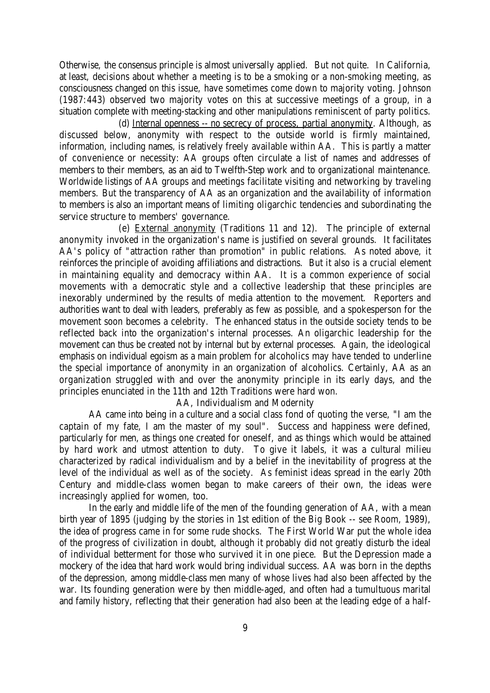Otherwise, the consensus principle is almost universally applied. But not quite. In California, at least, decisions about whether a meeting is to be a smoking or a non-smoking meeting, as consciousness changed on this issue, have sometimes come down to majority voting. Johnson (1987:443) observed two majority votes on this at successive meetings of a group, in a situation complete with meeting-stacking and other manipulations reminiscent of party politics.

(d) Internal openness -- no secrecy of process, partial anonymity. Although, as discussed below, anonymity with respect to the outside world is firmly maintained, information, including names, is relatively freely available within AA. This is partly a matter of convenience or necessity: AA groups often circulate a list of names and addresses of members to their members, as an aid to Twelfth-Step work and to organizational maintenance. Worldwide listings of AA groups and meetings facilitate visiting and networking by traveling members. But the transparency of AA as an organization and the availability of information to members is also an important means of limiting oligarchic tendencies and subordinating the service structure to members' governance.

(e) External anonymity (Traditions 11 and 12). The principle of external anonymity invoked in the organization's name is justified on several grounds. It facilitates AA's policy of "attraction rather than promotion" in public relations. As noted above, it reinforces the principle of avoiding affiliations and distractions. But it also is a crucial element in maintaining equality and democracy within AA. It is a common experience of social movements with a democratic style and a collective leadership that these principles are inexorably undermined by the results of media attention to the movement. Reporters and authorities want to deal with leaders, preferably as few as possible, and a spokesperson for the movement soon becomes a celebrity. The enhanced status in the outside society tends to be reflected back into the organization's internal processes. An oligarchic leadership for the movement can thus be created not by internal but by external processes. Again, the ideological emphasis on individual egoism as a main problem for alcoholics may have tended to underline the special importance of anonymity in an organization of alcoholics. Certainly, AA as an organization struggled with and over the anonymity principle in its early days, and the principles enunciated in the 11th and 12th Traditions were hard won.

## AA, Individualism and Modernity

AA came into being in a culture and a social class fond of quoting the verse, "I am the captain of my fate, I am the master of my soul". Success and happiness were defined, particularly for men, as things one created for oneself, and as things which would be attained by hard work and utmost attention to duty. To give it labels, it was a cultural milieu characterized by radical individualism and by a belief in the inevitability of progress at the level of the individual as well as of the society. As feminist ideas spread in the early 20th Century and middle-class women began to make careers of their own, the ideas were increasingly applied for women, too.

In the early and middle life of the men of the founding generation of AA, with a mean birth year of 1895 (judging by the stories in 1st edition of the Big Book -- see Room, 1989), the idea of progress came in for some rude shocks. The First World War put the whole idea of the progress of civilization in doubt, although it probably did not greatly disturb the ideal of individual betterment for those who survived it in one piece. But the Depression made a mockery of the idea that hard work would bring individual success. AA was born in the depths of the depression, among middle-class men many of whose lives had also been affected by the war. Its founding generation were by then middle-aged, and often had a tumultuous marital and family history, reflecting that their generation had also been at the leading edge of a half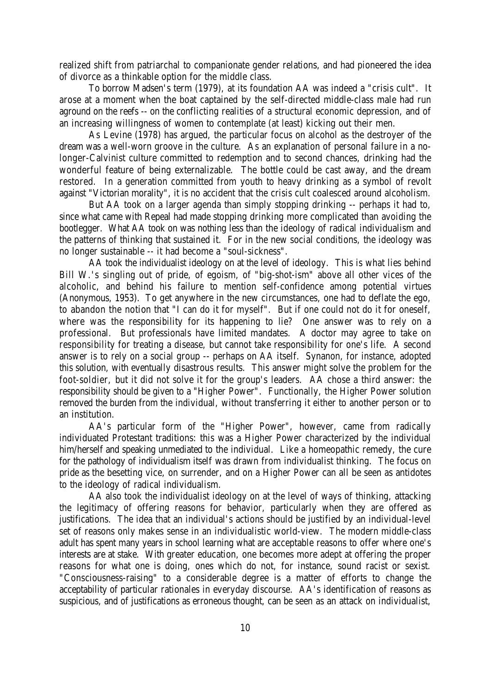realized shift from patriarchal to companionate gender relations, and had pioneered the idea of divorce as a thinkable option for the middle class.

To borrow Madsen's term (1979), at its foundation AA was indeed a "crisis cult". It arose at a moment when the boat captained by the self-directed middle-class male had run aground on the reefs -- on the conflicting realities of a structural economic depression, and of an increasing willingness of women to contemplate (at least) kicking out their men.

As Levine (1978) has argued, the particular focus on alcohol as the destroyer of the dream was a well-worn groove in the culture. As an explanation of personal failure in a nolonger-Calvinist culture committed to redemption and to second chances, drinking had the wonderful feature of being externalizable. The bottle could be cast away, and the dream restored. In a generation committed from youth to heavy drinking as a symbol of revolt against "Victorian morality", it is no accident that the crisis cult coalesced around alcoholism.

But AA took on a larger agenda than simply stopping drinking -- perhaps it had to, since what came with Repeal had made stopping drinking more complicated than avoiding the bootlegger. What AA took on was nothing less than the ideology of radical individualism and the patterns of thinking that sustained it. For in the new social conditions, the ideology was no longer sustainable -- it had become a "soul-sickness".

AA took the individualist ideology on at the level of ideology. This is what lies behind Bill W.'s singling out of pride, of egoism, of "big-shot-ism" above all other vices of the alcoholic, and behind his failure to mention self-confidence among potential virtues (Anonymous, 1953). To get anywhere in the new circumstances, one had to deflate the ego, to abandon the notion that "I can do it for myself". But if one could not do it for oneself, where was the responsibility for its happening to lie? One answer was to rely on a professional. But professionals have limited mandates. A doctor may agree to take on responsibility for treating a disease, but cannot take responsibility for one's life. A second answer is to rely on a social group -- perhaps on AA itself. Synanon, for instance, adopted this solution, with eventually disastrous results. This answer might solve the problem for the foot-soldier, but it did not solve it for the group's leaders. AA chose a third answer: the responsibility should be given to a "Higher Power". Functionally, the Higher Power solution removed the burden from the individual, without transferring it either to another person or to an institution.

AA's particular form of the "Higher Power", however, came from radically individuated Protestant traditions: this was a Higher Power characterized by the individual him/herself and speaking unmediated to the individual. Like a homeopathic remedy, the cure for the pathology of individualism itself was drawn from individualist thinking. The focus on pride as the besetting vice, on surrender, and on a Higher Power can all be seen as antidotes to the ideology of radical individualism.

AA also took the individualist ideology on at the level of ways of thinking, attacking the legitimacy of offering reasons for behavior, particularly when they are offered as justifications. The idea that an individual's actions should be justified by an individual-level set of reasons only makes sense in an individualistic world-view. The modern middle-class adult has spent many years in school learning what are acceptable reasons to offer where one's interests are at stake. With greater education, one becomes more adept at offering the proper reasons for what one is doing, ones which do not, for instance, sound racist or sexist. "Consciousness-raising" to a considerable degree is a matter of efforts to change the acceptability of particular rationales in everyday discourse. AA's identification of reasons as suspicious, and of justifications as erroneous thought, can be seen as an attack on individualist,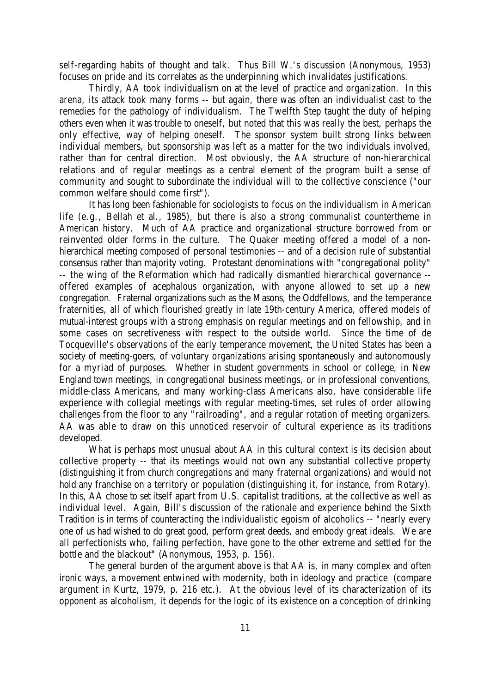self-regarding habits of thought and talk. Thus Bill W.'s discussion (Anonymous, 1953) focuses on pride and its correlates as the underpinning which invalidates justifications.

Thirdly, AA took individualism on at the level of practice and organization. In this arena, its attack took many forms -- but again, there was often an individualist cast to the remedies for the pathology of individualism. The Twelfth Step taught the duty of helping others even when it was trouble to oneself, but noted that this was really the best, perhaps the only effective, way of helping oneself. The sponsor system built strong links between individual members, but sponsorship was left as a matter for the two individuals involved, rather than for central direction. Most obviously, the AA structure of non-hierarchical relations and of regular meetings as a central element of the program built a sense of community and sought to subordinate the individual will to the collective conscience ("our common welfare should come first").

It has long been fashionable for sociologists to focus on the individualism in American life (e.g., Bellah et al., 1985), but there is also a strong communalist countertheme in American history. Much of AA practice and organizational structure borrowed from or reinvented older forms in the culture. The Quaker meeting offered a model of a nonhierarchical meeting composed of personal testimonies -- and of a decision rule of substantial consensus rather than majority voting. Protestant denominations with "congregational polity" -- the wing of the Reformation which had radically dismantled hierarchical governance - offered examples of acephalous organization, with anyone allowed to set up a new congregation. Fraternal organizations such as the Masons, the Oddfellows, and the temperance fraternities, all of which flourished greatly in late 19th-century America, offered models of mutual-interest groups with a strong emphasis on regular meetings and on fellowship, and in some cases on secretiveness with respect to the outside world. Since the time of de Tocqueville's observations of the early temperance movement, the United States has been a society of meeting-goers, of voluntary organizations arising spontaneously and autonomously for a myriad of purposes. Whether in student governments in school or college, in New England town meetings, in congregational business meetings, or in professional conventions, middle-class Americans, and many working-class Americans also, have considerable life experience with collegial meetings with regular meeting-times, set rules of order allowing challenges from the floor to any "railroading", and a regular rotation of meeting organizers. AA was able to draw on this unnoticed reservoir of cultural experience as its traditions developed.

What is perhaps most unusual about AA in this cultural context is its decision about collective property -- that its meetings would not own any substantial collective property (distinguishing it from church congregations and many fraternal organizations) and would not hold any franchise on a territory or population (distinguishing it, for instance, from Rotary). In this, AA chose to set itself apart from U.S. capitalist traditions, at the collective as well as individual level. Again, Bill's discussion of the rationale and experience behind the Sixth Tradition is in terms of counteracting the individualistic egoism of alcoholics -- "nearly every one of us had wished to do great good, perform great deeds, and embody great ideals. We are all perfectionists who, failing perfection, have gone to the other extreme and settled for the bottle and the blackout" (Anonymous, 1953, p. 156).

The general burden of the argument above is that AA is, in many complex and often ironic ways, a movement entwined with modernity, both in ideology and practice (compare argument in Kurtz, 1979, p. 216 etc.). At the obvious level of its characterization of its opponent as alcoholism, it depends for the logic of its existence on a conception of drinking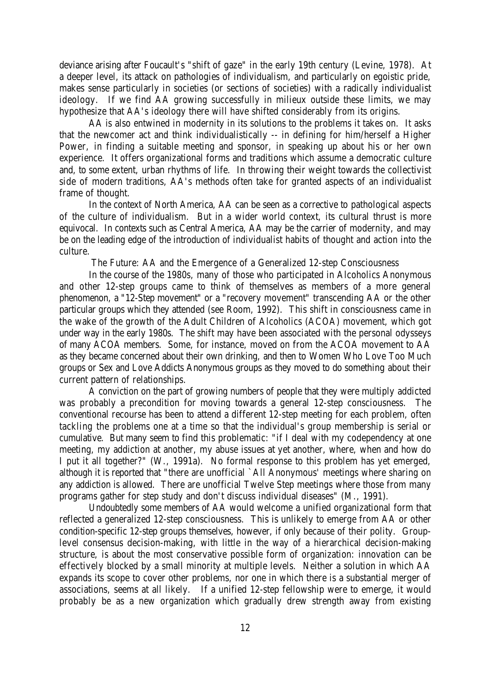deviance arising after Foucault's "shift of gaze" in the early 19th century (Levine, 1978). At a deeper level, its attack on pathologies of individualism, and particularly on egoistic pride, makes sense particularly in societies (or sections of societies) with a radically individualist ideology. If we find AA growing successfully in milieux outside these limits, we may hypothesize that AA's ideology there will have shifted considerably from its origins.

AA is also entwined in modernity in its solutions to the problems it takes on. It asks that the newcomer act and think individualistically -- in defining for him/herself a Higher Power, in finding a suitable meeting and sponsor, in speaking up about his or her own experience. It offers organizational forms and traditions which assume a democratic culture and, to some extent, urban rhythms of life. In throwing their weight towards the collectivist side of modern traditions, AA's methods often take for granted aspects of an individualist frame of thought.

In the context of North America, AA can be seen as a corrective to pathological aspects of the culture of individualism. But in a wider world context, its cultural thrust is more equivocal. In contexts such as Central America, AA may be the carrier of modernity, and may be on the leading edge of the introduction of individualist habits of thought and action into the culture.

The Future: AA and the Emergence of a Generalized 12-step Consciousness

In the course of the 1980s, many of those who participated in Alcoholics Anonymous and other 12-step groups came to think of themselves as members of a more general phenomenon, a "12-Step movement" or a "recovery movement" transcending AA or the other particular groups which they attended (see Room, 1992). This shift in consciousness came in the wake of the growth of the Adult Children of Alcoholics (ACOA) movement, which got under way in the early 1980s. The shift may have been associated with the personal odysseys of many ACOA members. Some, for instance, moved on from the ACOA movement to AA as they became concerned about their own drinking, and then to Women Who Love Too Much groups or Sex and Love Addicts Anonymous groups as they moved to do something about their current pattern of relationships.

A conviction on the part of growing numbers of people that they were multiply addicted was probably a precondition for moving towards a general 12-step consciousness. The conventional recourse has been to attend a different 12-step meeting for each problem, often tackling the problems one at a time so that the individual's group membership is serial or cumulative. But many seem to find this problematic: "if I deal with my codependency at one meeting, my addiction at another, my abuse issues at yet another, where, when and how do I put it all together?" (W., 1991a). No formal response to this problem has yet emerged, although it is reported that "there are unofficial `All Anonymous' meetings where sharing on any addiction is allowed. There are unofficial Twelve Step meetings where those from many programs gather for step study and don't discuss individual diseases" (M., 1991).

Undoubtedly some members of AA would welcome a unified organizational form that reflected a generalized 12-step consciousness. This is unlikely to emerge from AA or other condition-specific 12-step groups themselves, however, if only because of their polity. Grouplevel consensus decision-making, with little in the way of a hierarchical decision-making structure, is about the most conservative possible form of organization: innovation can be effectively blocked by a small minority at multiple levels. Neither a solution in which AA expands its scope to cover other problems, nor one in which there is a substantial merger of associations, seems at all likely. If a unified 12-step fellowship were to emerge, it would probably be as a new organization which gradually drew strength away from existing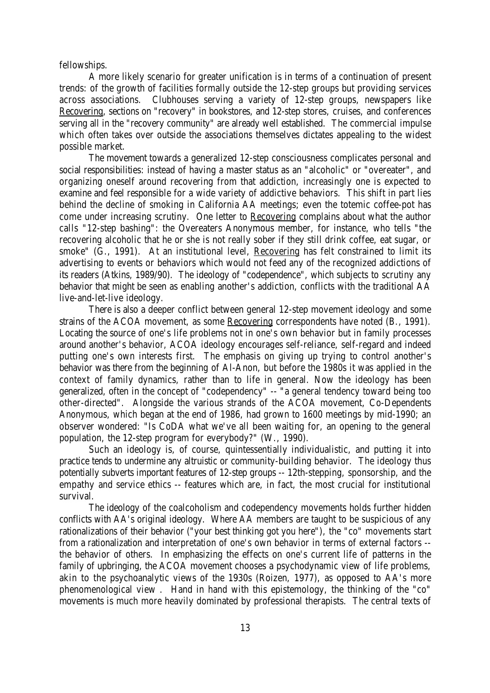fellowships.

A more likely scenario for greater unification is in terms of a continuation of present trends: of the growth of facilities formally outside the 12-step groups but providing services across associations. Clubhouses serving a variety of 12-step groups, newspapers like Recovering, sections on "recovery" in bookstores, and 12-step stores, cruises, and conferences serving all in the "recovery community" are already well established. The commercial impulse which often takes over outside the associations themselves dictates appealing to the widest possible market.

The movement towards a generalized 12-step consciousness complicates personal and social responsibilities: instead of having a master status as an "alcoholic" or "overeater", and organizing oneself around recovering from that addiction, increasingly one is expected to examine and feel responsible for a wide variety of addictive behaviors. This shift in part lies behind the decline of smoking in California AA meetings; even the totemic coffee-pot has come under increasing scrutiny. One letter to Recovering complains about what the author calls "12-step bashing": the Overeaters Anonymous member, for instance, who tells "the recovering alcoholic that he or she is not really sober if they still drink coffee, eat sugar, or smoke" (G., 1991). At an institutional level, Recovering has felt constrained to limit its advertising to events or behaviors which would not feed any of the recognized addictions of its readers (Atkins, 1989/90). The ideology of "codependence", which subjects to scrutiny any behavior that might be seen as enabling another's addiction, conflicts with the traditional AA live-and-let-live ideology.

There is also a deeper conflict between general 12-step movement ideology and some strains of the ACOA movement, as some Recovering correspondents have noted (B., 1991). Locating the source of one's life problems not in one's own behavior but in family processes around another's behavior, ACOA ideology encourages self-reliance, self-regard and indeed putting one's own interests first. The emphasis on giving up trying to control another's behavior was there from the beginning of Al-Anon, but before the 1980s it was applied in the context of family dynamics, rather than to life in general. Now the ideology has been generalized, often in the concept of "codependency" -- "a general tendency toward being too other-directed". Alongside the various strands of the ACOA movement, Co-Dependents Anonymous, which began at the end of 1986, had grown to 1600 meetings by mid-1990; an observer wondered: "Is CoDA what we've all been waiting for, an opening to the general population, the 12-step program for everybody?" (W., 1990).

Such an ideology is, of course, quintessentially individualistic, and putting it into practice tends to undermine any altruistic or community-building behavior. The ideology thus potentially subverts important features of 12-step groups -- 12th-stepping, sponsorship, and the empathy and service ethics -- features which are, in fact, the most crucial for institutional survival.

The ideology of the coalcoholism and codependency movements holds further hidden conflicts with AA's original ideology. Where AA members are taught to be suspicious of any rationalizations of their behavior ("your best thinking got you here"), the "co" movements start from a rationalization and interpretation of one's own behavior in terms of external factors - the behavior of others. In emphasizing the effects on one's current life of patterns in the family of upbringing, the ACOA movement chooses a psychodynamic view of life problems, akin to the psychoanalytic views of the 1930s (Roizen, 1977), as opposed to AA's more phenomenological view . Hand in hand with this epistemology, the thinking of the "co" movements is much more heavily dominated by professional therapists. The central texts of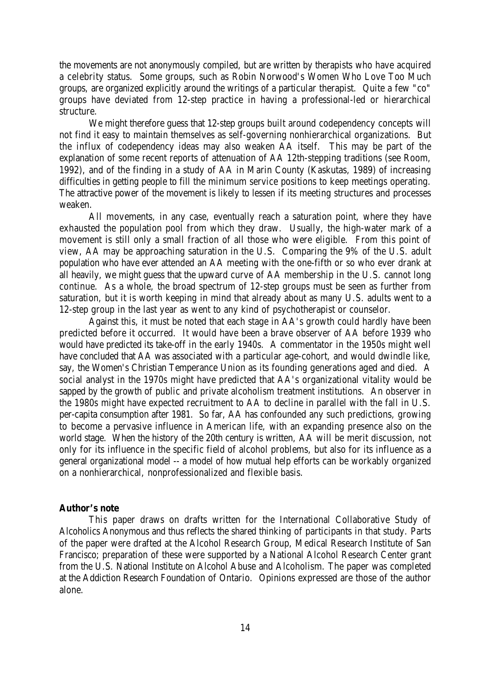the movements are not anonymously compiled, but are written by therapists who have acquired a celebrity status. Some groups, such as Robin Norwood's Women Who Love Too Much groups, are organized explicitly around the writings of a particular therapist. Quite a few "co" groups have deviated from 12-step practice in having a professional-led or hierarchical structure.

We might therefore guess that 12-step groups built around codependency concepts will not find it easy to maintain themselves as self-governing nonhierarchical organizations. But the influx of codependency ideas may also weaken AA itself. This may be part of the explanation of some recent reports of attenuation of AA 12th-stepping traditions (see Room, 1992), and of the finding in a study of AA in Marin County (Kaskutas, 1989) of increasing difficulties in getting people to fill the minimum service positions to keep meetings operating. The attractive power of the movement is likely to lessen if its meeting structures and processes weaken.

All movements, in any case, eventually reach a saturation point, where they have exhausted the population pool from which they draw. Usually, the high-water mark of a movement is still only a small fraction of all those who were eligible. From this point of view, AA may be approaching saturation in the U.S. Comparing the 9% of the U.S. adult population who have ever attended an AA meeting with the one-fifth or so who ever drank at all heavily, we might guess that the upward curve of AA membership in the U.S. cannot long continue. As a whole, the broad spectrum of 12-step groups must be seen as further from saturation, but it is worth keeping in mind that already about as many U.S. adults went to a 12-step group in the last year as went to any kind of psychotherapist or counselor.

Against this, it must be noted that each stage in AA's growth could hardly have been predicted before it occurred. It would have been a brave observer of AA before 1939 who would have predicted its take-off in the early 1940s. A commentator in the 1950s might well have concluded that AA was associated with a particular age-cohort, and would dwindle like, say, the Women's Christian Temperance Union as its founding generations aged and died. A social analyst in the 1970s might have predicted that AA's organizational vitality would be sapped by the growth of public and private alcoholism treatment institutions. An observer in the 1980s might have expected recruitment to AA to decline in parallel with the fall in U.S. per-capita consumption after 1981. So far, AA has confounded any such predictions, growing to become a pervasive influence in American life, with an expanding presence also on the world stage. When the history of the 20th century is written, AA will be merit discussion, not only for its influence in the specific field of alcohol problems, but also for its influence as a general organizational model -- a model of how mutual help efforts can be workably organized on a nonhierarchical, nonprofessionalized and flexible basis.

#### **Author's note**

This paper draws on drafts written for the International Collaborative Study of Alcoholics Anonymous and thus reflects the shared thinking of participants in that study. Parts of the paper were drafted at the Alcohol Research Group, Medical Research Institute of San Francisco; preparation of these were supported by a National Alcohol Research Center grant from the U.S. National Institute on Alcohol Abuse and Alcoholism. The paper was completed at the Addiction Research Foundation of Ontario. Opinions expressed are those of the author alone.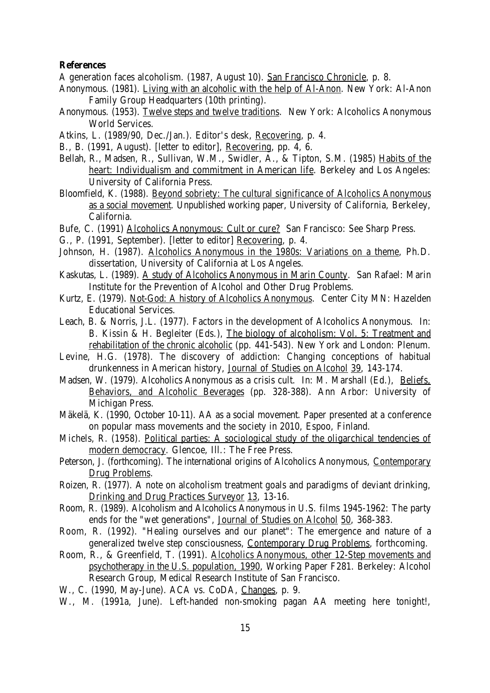#### **References**

A generation faces alcoholism. (1987, August 10). San Francisco Chronicle, p. 8.

- Anonymous. (1981). Living with an alcoholic with the help of Al-Anon. New York: Al-Anon Family Group Headquarters (10th printing).
- Anonymous. (1953). Twelve steps and twelve traditions. New York: Alcoholics Anonymous World Services.
- Atkins, L. (1989/90, Dec./Jan.). Editor's desk, Recovering, p. 4.
- B., B. (1991, August). [letter to editor], Recovering, pp. 4, 6.
- Bellah, R., Madsen, R., Sullivan, W.M., Swidler, A., & Tipton, S.M. (1985) Habits of the heart: Individualism and commitment in American life. Berkeley and Los Angeles: University of California Press.
- Bloomfield, K. (1988). Beyond sobriety: The cultural significance of Alcoholics Anonymous as a social movement. Unpublished working paper, University of California, Berkeley, California.
- Bufe, C. (1991) Alcoholics Anonymous: Cult or cure? San Francisco: See Sharp Press.
- G., P. (1991, September). [letter to editor] Recovering, p. 4.
- Johnson, H. (1987). Alcoholics Anonymous in the 1980s: Variations on a theme, Ph.D. dissertation, University of California at Los Angeles.
- Kaskutas, L. (1989). A study of Alcoholics Anonymous in Marin County. San Rafael: Marin Institute for the Prevention of Alcohol and Other Drug Problems.
- Kurtz, E. (1979). Not-God: A history of Alcoholics Anonymous. Center City MN: Hazelden Educational Services.
- Leach, B. & Norris, J.L. (1977). Factors in the development of Alcoholics Anonymous. In: B. Kissin & H. Begleiter (Eds.), The biology of alcoholism: Vol. 5: Treatment and rehabilitation of the chronic alcoholic (pp. 441-543). New York and London: Plenum.
- Levine, H.G. (1978). The discovery of addiction: Changing conceptions of habitual drunkenness in American history, Journal of Studies on Alcohol 39, 143-174.
- Madsen, W. (1979). Alcoholics Anonymous as a crisis cult. In: M. Marshall (Ed.), Beliefs, Behaviors, and Alcoholic Beverages (pp. 328-388). Ann Arbor: University of Michigan Press.
- Mäkelä, K. (1990, October 10-11). AA as a social movement. Paper presented at a conference on popular mass movements and the society in 2010, Espoo, Finland.
- Michels, R. (1958). Political parties: A sociological study of the oligarchical tendencies of modern democracy. Glencoe, Ill.: The Free Press.
- Peterson, J. (forthcoming). The international origins of Alcoholics Anonymous, Contemporary Drug Problems.
- Roizen, R. (1977). A note on alcoholism treatment goals and paradigms of deviant drinking, Drinking and Drug Practices Surveyor 13, 13-16.
- Room, R. (1989). Alcoholism and Alcoholics Anonymous in U.S. films 1945-1962: The party ends for the "wet generations", Journal of Studies on Alcohol 50, 368-383.
- Room, R. (1992). "Healing ourselves and our planet": The emergence and nature of a generalized twelve step consciousness, Contemporary Drug Problems, forthcoming.
- Room, R., & Greenfield, T. (1991). Alcoholics Anonymous, other 12-Step movements and psychotherapy in the U.S. population, 1990, Working Paper F281. Berkeley: Alcohol Research Group, Medical Research Institute of San Francisco.
- W., C. (1990, May-June). ACA vs. CoDA, Changes, p. 9.
- W., M. (1991a, June). Left-handed non-smoking pagan AA meeting here tonight!,